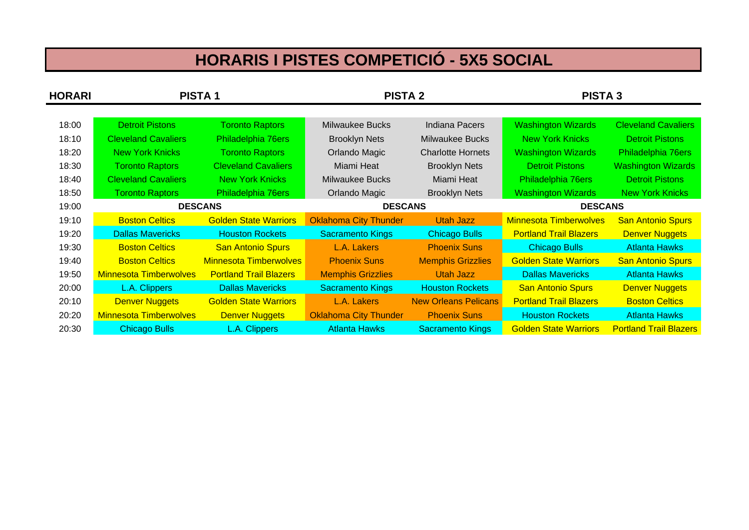## **HORARIS I PISTES COMPETICIÓ - 5X5 SOCIAL**

| <b>HORARI</b> | <b>PISTA1</b>                 |                               | <b>PISTA 2</b>               |                             | <b>PISTA 3</b>                |                               |
|---------------|-------------------------------|-------------------------------|------------------------------|-----------------------------|-------------------------------|-------------------------------|
|               |                               |                               |                              |                             |                               |                               |
| 18:00         | <b>Detroit Pistons</b>        | <b>Toronto Raptors</b>        | <b>Milwaukee Bucks</b>       | <b>Indiana Pacers</b>       | <b>Washington Wizards</b>     | <b>Cleveland Cavaliers</b>    |
| 18:10         | <b>Cleveland Cavaliers</b>    | Philadelphia 76ers            | <b>Brooklyn Nets</b>         | Milwaukee Bucks             | <b>New York Knicks</b>        | <b>Detroit Pistons</b>        |
| 18:20         | <b>New York Knicks</b>        | <b>Toronto Raptors</b>        | Orlando Magic                | <b>Charlotte Hornets</b>    | <b>Washington Wizards</b>     | Philadelphia 76ers            |
| 18:30         | <b>Toronto Raptors</b>        | <b>Cleveland Cavaliers</b>    | Miami Heat                   | <b>Brooklyn Nets</b>        | <b>Detroit Pistons</b>        | <b>Washington Wizards</b>     |
| 18:40         | <b>Cleveland Cavaliers</b>    | <b>New York Knicks</b>        | <b>Milwaukee Bucks</b>       | Miami Heat                  | Philadelphia 76ers            | <b>Detroit Pistons</b>        |
| 18:50         | <b>Toronto Raptors</b>        | Philadelphia 76ers            | Orlando Magic                | <b>Brooklyn Nets</b>        | <b>Washington Wizards</b>     | <b>New York Knicks</b>        |
| 19:00         | <b>DESCANS</b>                |                               | <b>DESCANS</b>               |                             | <b>DESCANS</b>                |                               |
| 19:10         | <b>Boston Celtics</b>         | <b>Golden State Warriors</b>  | <b>Oklahoma City Thunder</b> | Utah Jazz                   | <b>Minnesota Timberwolves</b> | <b>San Antonio Spurs</b>      |
| 19:20         | <b>Dallas Mavericks</b>       | <b>Houston Rockets</b>        | <b>Sacramento Kings</b>      | <b>Chicago Bulls</b>        | <b>Portland Trail Blazers</b> | <b>Denver Nuggets</b>         |
| 19:30         | <b>Boston Celtics</b>         | <b>San Antonio Spurs</b>      | L.A. Lakers                  | <b>Phoenix Suns</b>         | <b>Chicago Bulls</b>          | <b>Atlanta Hawks</b>          |
| 19:40         | <b>Boston Celtics</b>         | <b>Minnesota Timberwolves</b> | <b>Phoenix Suns</b>          | <b>Memphis Grizzlies</b>    | <b>Golden State Warriors</b>  | <b>San Antonio Spurs</b>      |
| 19:50         | <b>Minnesota Timberwolves</b> | <b>Portland Trail Blazers</b> | <b>Memphis Grizzlies</b>     | Utah Jazz                   | <b>Dallas Mavericks</b>       | <b>Atlanta Hawks</b>          |
| 20:00         | L.A. Clippers                 | <b>Dallas Mavericks</b>       | <b>Sacramento Kings</b>      | <b>Houston Rockets</b>      | <b>San Antonio Spurs</b>      | <b>Denver Nuggets</b>         |
| 20:10         | <b>Denver Nuggets</b>         | <b>Golden State Warriors</b>  | L.A. Lakers                  | <b>New Orleans Pelicans</b> | <b>Portland Trail Blazers</b> | <b>Boston Celtics</b>         |
| 20:20         | <b>Minnesota Timberwolves</b> | <b>Denver Nuggets</b>         | <b>Oklahoma City Thunder</b> | <b>Phoenix Suns</b>         | <b>Houston Rockets</b>        | <b>Atlanta Hawks</b>          |
| 20:30         | <b>Chicago Bulls</b>          | L.A. Clippers                 | <b>Atlanta Hawks</b>         | <b>Sacramento Kings</b>     | <b>Golden State Warriors</b>  | <b>Portland Trail Blazers</b> |